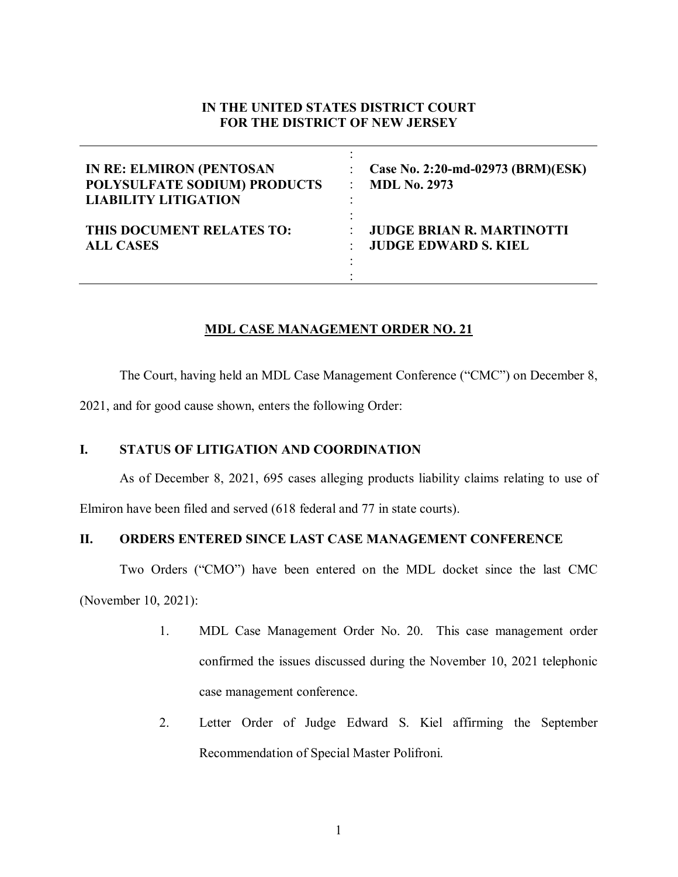# **IN THE UNITED STATES DISTRICT COURT FOR THE DISTRICT OF NEW JERSEY**

| <b>IN RE: ELMIRON (PENTOSAN</b> | Case No. 2:20-md-02973 (BRM)(ESK) |
|---------------------------------|-----------------------------------|
| POLYSULFATE SODIUM) PRODUCTS    | <b>MDL No. 2973</b>               |
| <b>LIABILITY LITIGATION</b>     | ۰                                 |
| THIS DOCUMENT RELATES TO:       | <b>JUDGE BRIAN R. MARTINOTTI</b>  |
| <b>ALL CASES</b>                | <b>JUDGE EDWARD S. KIEL</b>       |

## **MDL CASE MANAGEMENT ORDER NO. 21**

The Court, having held an MDL Case Management Conference ("CMC") on December 8,

2021, and for good cause shown, enters the following Order:

## **I. STATUS OF LITIGATION AND COORDINATION**

As of December 8, 2021, 695 cases alleging products liability claims relating to use of Elmiron have been filed and served (618 federal and 77 in state courts).

# **II. ORDERS ENTERED SINCE LAST CASE MANAGEMENT CONFERENCE**

Two Orders ("CMO") have been entered on the MDL docket since the last CMC (November 10, 2021):

- 1. MDL Case Management Order No. 20. This case management order confirmed the issues discussed during the November 10, 2021 telephonic case management conference.
- 2. Letter Order of Judge Edward S. Kiel affirming the September Recommendation of Special Master Polifroni.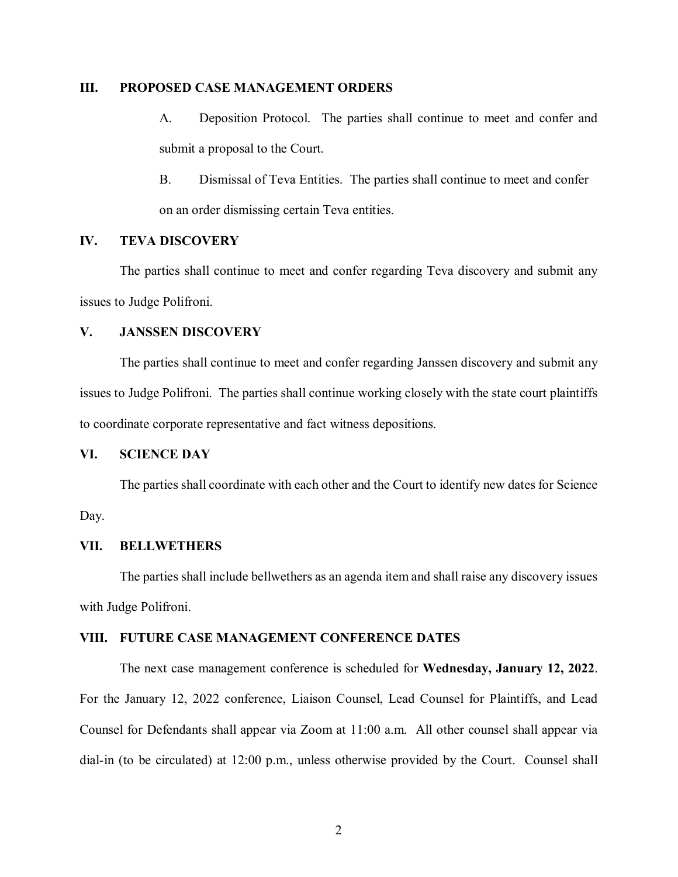### **III. PROPOSED CASE MANAGEMENT ORDERS**

- A. Deposition Protocol. The parties shall continue to meet and confer and submit a proposal to the Court.
- B. Dismissal of Teva Entities. The parties shall continue to meet and confer on an order dismissing certain Teva entities.

### **IV. TEVA DISCOVERY**

The parties shall continue to meet and confer regarding Teva discovery and submit any issues to Judge Polifroni.

### **V. JANSSEN DISCOVERY**

The parties shall continue to meet and confer regarding Janssen discovery and submit any issues to Judge Polifroni. The parties shall continue working closely with the state court plaintiffs to coordinate corporate representative and fact witness depositions.

### **VI. SCIENCE DAY**

The parties shall coordinate with each other and the Court to identify new dates for Science Day.

### **VII. BELLWETHERS**

The parties shall include bellwethers as an agenda item and shall raise any discovery issues with Judge Polifroni.

#### **VIII. FUTURE CASE MANAGEMENT CONFERENCE DATES**

The next case management conference is scheduled for **Wednesday, January 12, 2022**. For the January 12, 2022 conference, Liaison Counsel, Lead Counsel for Plaintiffs, and Lead Counsel for Defendants shall appear via Zoom at 11:00 a.m. All other counsel shall appear via dial-in (to be circulated) at 12:00 p.m., unless otherwise provided by the Court. Counsel shall